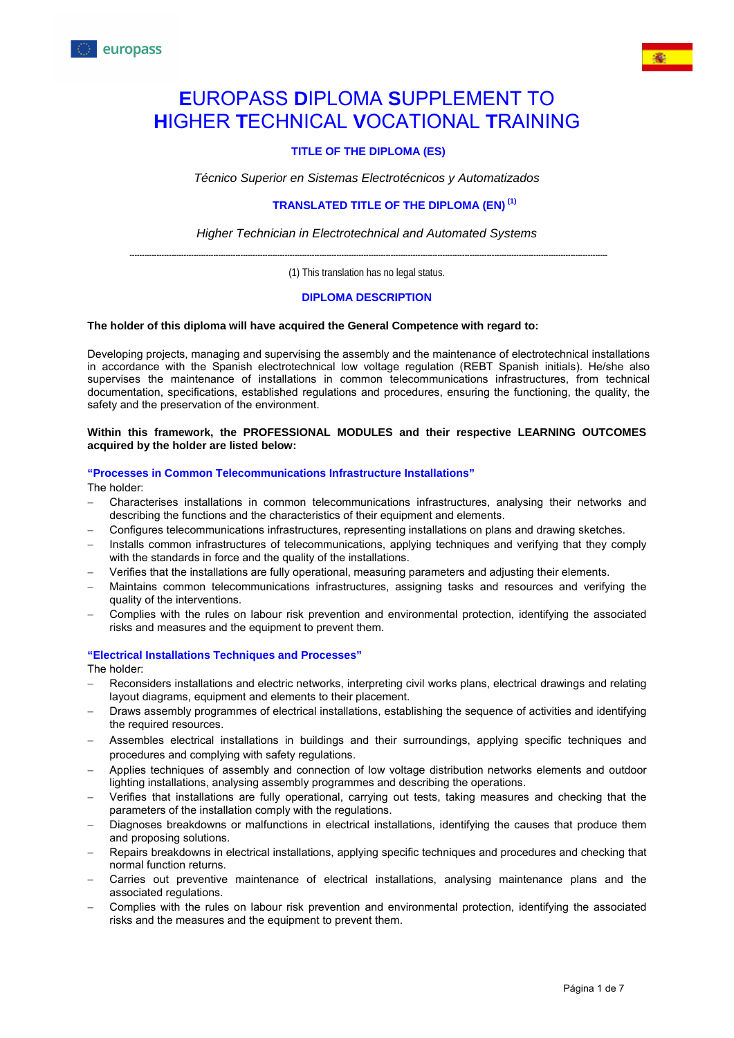

# **E**UROPASS **D**IPLOMA **S**UPPLEMENT TO **H**IGHER **T**ECHNICAL **V**OCATIONAL **T**RAINING

# **TITLE OF THE DIPLOMA (ES)**

*Técnico Superior en Sistemas Electrotécnicos y Automatizados*

## **TRANSLATED TITLE OF THE DIPLOMA (EN) (1)**

*Higher Technician in Electrotechnical and Automated Systems*

**--------------------------------------------------------------------------------------------------------------------------------------------------------------------------------------------------** (1) This translation has no legal status.

## **DIPLOMA DESCRIPTION**

#### **The holder of this diploma will have acquired the General Competence with regard to:**

Developing projects, managing and supervising the assembly and the maintenance of electrotechnical installations in accordance with the Spanish electrotechnical low voltage regulation (REBT Spanish initials). He/she also supervises the maintenance of installations in common telecommunications infrastructures, from technical documentation, specifications, established regulations and procedures, ensuring the functioning, the quality, the safety and the preservation of the environment.

#### **Within this framework, the PROFESSIONAL MODULES and their respective LEARNING OUTCOMES acquired by the holder are listed below:**

#### **"Processes in Common Telecommunications Infrastructure Installations"**

The holder:

- − Characterises installations in common telecommunications infrastructures, analysing their networks and describing the functions and the characteristics of their equipment and elements.
- − Configures telecommunications infrastructures, representing installations on plans and drawing sketches.
- − Installs common infrastructures of telecommunications, applying techniques and verifying that they comply with the standards in force and the quality of the installations.
- − Verifies that the installations are fully operational, measuring parameters and adjusting their elements.
- Maintains common telecommunications infrastructures, assigning tasks and resources and verifying the quality of the interventions.
- − Complies with the rules on labour risk prevention and environmental protection, identifying the associated risks and measures and the equipment to prevent them.

## **"Electrical Installations Techniques and Processes"**

The holder:

- Reconsiders installations and electric networks, interpreting civil works plans, electrical drawings and relating layout diagrams, equipment and elements to their placement.
- Draws assembly programmes of electrical installations, establishing the sequence of activities and identifying the required resources.
- − Assembles electrical installations in buildings and their surroundings, applying specific techniques and procedures and complying with safety regulations.
- − Applies techniques of assembly and connection of low voltage distribution networks elements and outdoor lighting installations, analysing assembly programmes and describing the operations.
- − Verifies that installations are fully operational, carrying out tests, taking measures and checking that the parameters of the installation comply with the regulations.
- Diagnoses breakdowns or malfunctions in electrical installations, identifying the causes that produce them and proposing solutions.
- Repairs breakdowns in electrical installations, applying specific techniques and procedures and checking that normal function returns.
- Carries out preventive maintenance of electrical installations, analysing maintenance plans and the associated regulations.
- − Complies with the rules on labour risk prevention and environmental protection, identifying the associated risks and the measures and the equipment to prevent them.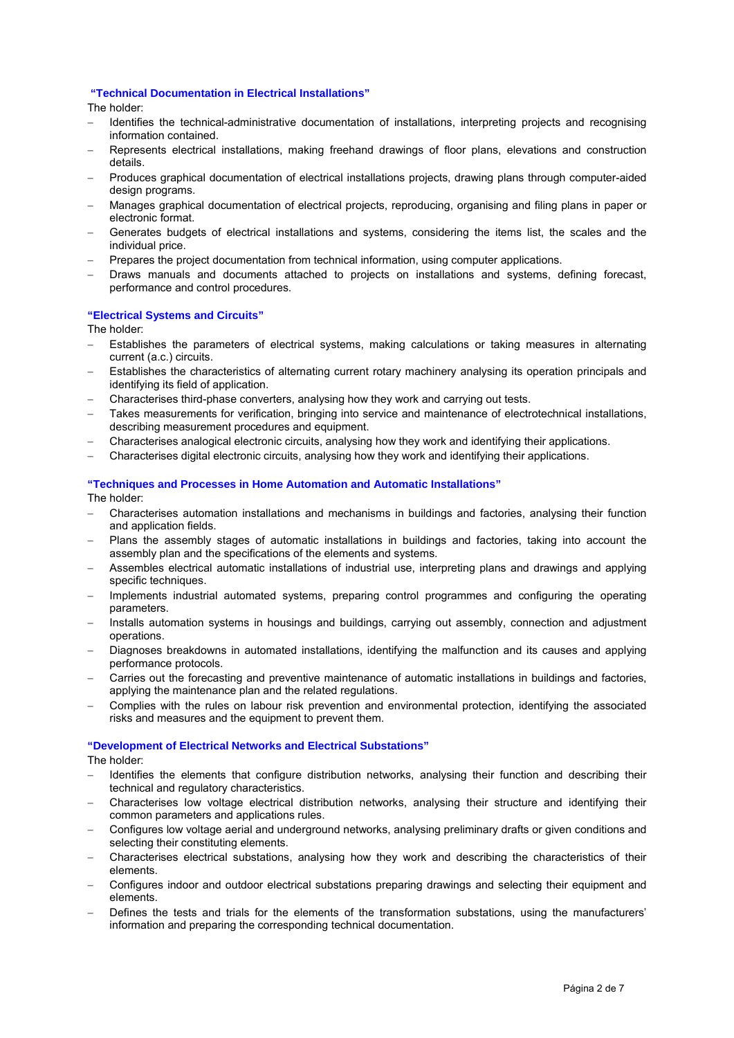#### **"Technical Documentation in Electrical Installations"**

The holder:

- − Identifies the technical-administrative documentation of installations, interpreting projects and recognising information contained.
- Represents electrical installations, making freehand drawings of floor plans, elevations and construction details.
- − Produces graphical documentation of electrical installations projects, drawing plans through computer-aided design programs.
- − Manages graphical documentation of electrical projects, reproducing, organising and filing plans in paper or electronic format.
- Generates budgets of electrical installations and systems, considering the items list, the scales and the individual price.
- Prepares the project documentation from technical information, using computer applications.
- Draws manuals and documents attached to projects on installations and systems, defining forecast, performance and control procedures.

## **"Electrical Systems and Circuits"**

The holder:

- Establishes the parameters of electrical systems, making calculations or taking measures in alternating current (a.c.) circuits.
- Establishes the characteristics of alternating current rotary machinery analysing its operation principals and identifying its field of application.
- − Characterises third-phase converters, analysing how they work and carrying out tests.
- − Takes measurements for verification, bringing into service and maintenance of electrotechnical installations, describing measurement procedures and equipment.
- − Characterises analogical electronic circuits, analysing how they work and identifying their applications.
- − Characterises digital electronic circuits, analysing how they work and identifying their applications.

## **"Techniques and Processes in Home Automation and Automatic Installations"**

The holder:

- − Characterises automation installations and mechanisms in buildings and factories, analysing their function and application fields.
- Plans the assembly stages of automatic installations in buildings and factories, taking into account the assembly plan and the specifications of the elements and systems.
- − Assembles electrical automatic installations of industrial use, interpreting plans and drawings and applying specific techniques.
- Implements industrial automated systems, preparing control programmes and configuring the operating parameters.
- − Installs automation systems in housings and buildings, carrying out assembly, connection and adjustment operations.
- Diagnoses breakdowns in automated installations, identifying the malfunction and its causes and applying performance protocols.
- − Carries out the forecasting and preventive maintenance of automatic installations in buildings and factories, applying the maintenance plan and the related regulations.
- − Complies with the rules on labour risk prevention and environmental protection, identifying the associated risks and measures and the equipment to prevent them.

#### **"Development of Electrical Networks and Electrical Substations"**

The holder:

- − Identifies the elements that configure distribution networks, analysing their function and describing their technical and regulatory characteristics.
- − Characterises low voltage electrical distribution networks, analysing their structure and identifying their common parameters and applications rules.
- − Configures low voltage aerial and underground networks, analysing preliminary drafts or given conditions and selecting their constituting elements.
- − Characterises electrical substations, analysing how they work and describing the characteristics of their elements.
- − Configures indoor and outdoor electrical substations preparing drawings and selecting their equipment and elements.
- Defines the tests and trials for the elements of the transformation substations, using the manufacturers' information and preparing the corresponding technical documentation.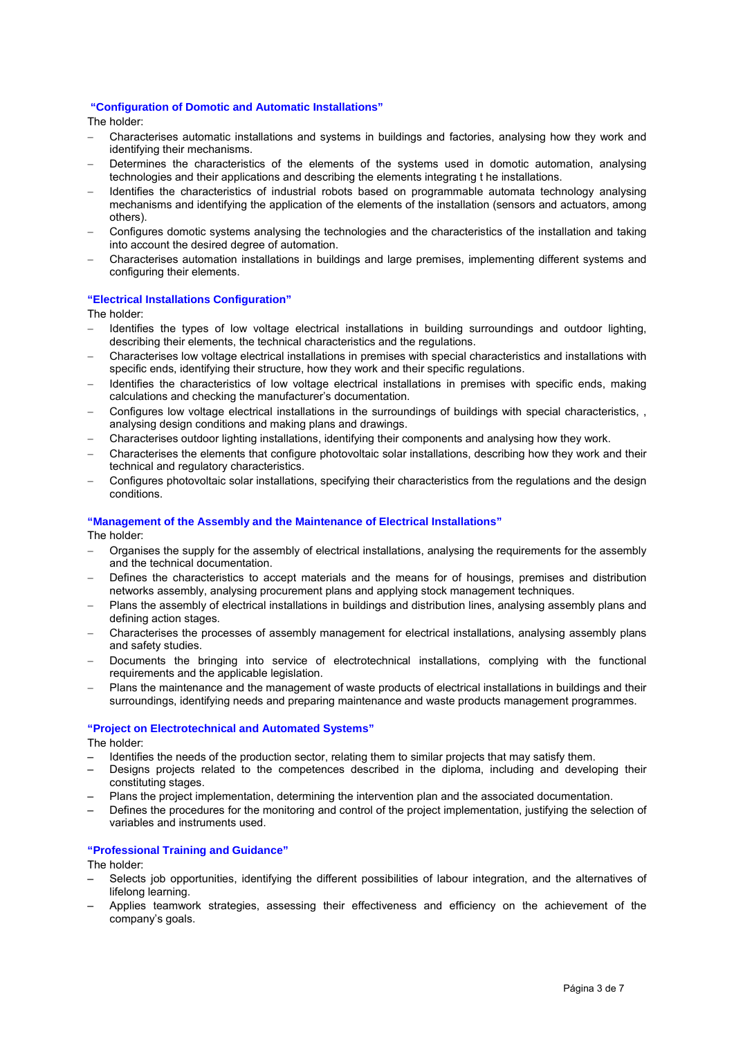#### **"Configuration of Domotic and Automatic Installations"**

The holder:

- − Characterises automatic installations and systems in buildings and factories, analysing how they work and identifying their mechanisms.
- Determines the characteristics of the elements of the systems used in domotic automation, analysing technologies and their applications and describing the elements integrating t he installations.
- − Identifies the characteristics of industrial robots based on programmable automata technology analysing mechanisms and identifying the application of the elements of the installation (sensors and actuators, among others).
- − Configures domotic systems analysing the technologies and the characteristics of the installation and taking into account the desired degree of automation.
- − Characterises automation installations in buildings and large premises, implementing different systems and configuring their elements.

## **"Electrical Installations Configuration"**

The holder:

- − Identifies the types of low voltage electrical installations in building surroundings and outdoor lighting, describing their elements, the technical characteristics and the regulations.
- − Characterises low voltage electrical installations in premises with special characteristics and installations with specific ends, identifying their structure, how they work and their specific regulations.
- − Identifies the characteristics of low voltage electrical installations in premises with specific ends, making calculations and checking the manufacturer's documentation.
- − Configures low voltage electrical installations in the surroundings of buildings with special characteristics, , analysing design conditions and making plans and drawings.
- − Characterises outdoor lighting installations, identifying their components and analysing how they work.
- − Characterises the elements that configure photovoltaic solar installations, describing how they work and their technical and regulatory characteristics.
- − Configures photovoltaic solar installations, specifying their characteristics from the regulations and the design conditions.

## **"Management of the Assembly and the Maintenance of Electrical Installations"**

The holder:

- − Organises the supply for the assembly of electrical installations, analysing the requirements for the assembly and the technical documentation.
- Defines the characteristics to accept materials and the means for of housings, premises and distribution networks assembly, analysing procurement plans and applying stock management techniques.
- Plans the assembly of electrical installations in buildings and distribution lines, analysing assembly plans and defining action stages.
- − Characterises the processes of assembly management for electrical installations, analysing assembly plans and safety studies.
- Documents the bringing into service of electrotechnical installations, complying with the functional requirements and the applicable legislation.
- − Plans the maintenance and the management of waste products of electrical installations in buildings and their surroundings, identifying needs and preparing maintenance and waste products management programmes.

#### **"Project on Electrotechnical and Automated Systems"**

The holder:

- Identifies the needs of the production sector, relating them to similar projects that may satisfy them.
- Designs projects related to the competences described in the diploma, including and developing their constituting stages.
- Plans the project implementation, determining the intervention plan and the associated documentation.
- Defines the procedures for the monitoring and control of the project implementation, justifying the selection of variables and instruments used.

#### **"Professional Training and Guidance"**

The holder:

- Selects job opportunities, identifying the different possibilities of labour integration, and the alternatives of lifelong learning.
- Applies teamwork strategies, assessing their effectiveness and efficiency on the achievement of the company's goals.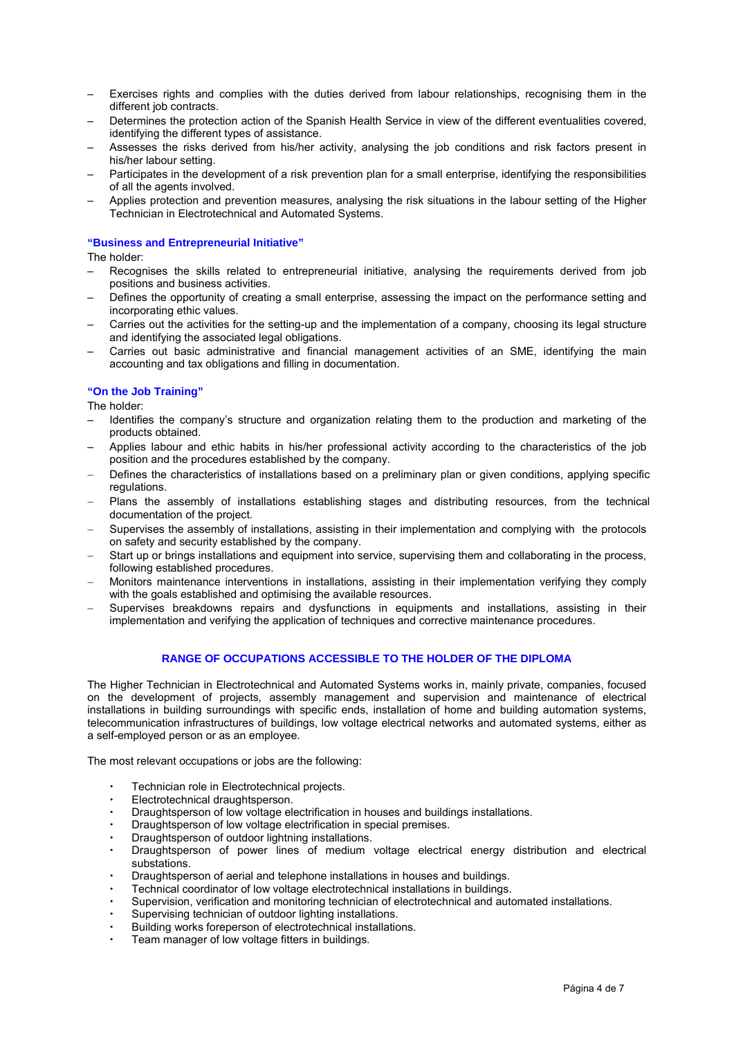- Exercises rights and complies with the duties derived from labour relationships, recognising them in the different job contracts.
- Determines the protection action of the Spanish Health Service in view of the different eventualities covered, identifying the different types of assistance.
- Assesses the risks derived from his/her activity, analysing the job conditions and risk factors present in his/her labour setting.
- Participates in the development of a risk prevention plan for a small enterprise, identifying the responsibilities of all the agents involved.
- Applies protection and prevention measures, analysing the risk situations in the labour setting of the Higher Technician in Electrotechnical and Automated Systems.

#### **"Business and Entrepreneurial Initiative"**

The holder:

- Recognises the skills related to entrepreneurial initiative, analysing the requirements derived from job positions and business activities.
- Defines the opportunity of creating a small enterprise, assessing the impact on the performance setting and incorporating ethic values.
- Carries out the activities for the setting-up and the implementation of a company, choosing its legal structure and identifying the associated legal obligations.
- Carries out basic administrative and financial management activities of an SME, identifying the main accounting and tax obligations and filling in documentation.

## **"On the Job Training"**

The holder:

- Identifies the company's structure and organization relating them to the production and marketing of the products obtained.
- Applies labour and ethic habits in his/her professional activity according to the characteristics of the job position and the procedures established by the company.
- Defines the characteristics of installations based on a preliminary plan or given conditions, applying specific regulations.
- − Plans the assembly of installations establishing stages and distributing resources, from the technical documentation of the project.
- Supervises the assembly of installations, assisting in their implementation and complying with the protocols on safety and security established by the company.
- Start up or brings installations and equipment into service, supervising them and collaborating in the process, following established procedures.
- − Monitors maintenance interventions in installations, assisting in their implementation verifying they comply with the goals established and optimising the available resources.
- Supervises breakdowns repairs and dysfunctions in equipments and installations, assisting in their implementation and verifying the application of techniques and corrective maintenance procedures.

## **RANGE OF OCCUPATIONS ACCESSIBLE TO THE HOLDER OF THE DIPLOMA**

The Higher Technician in Electrotechnical and Automated Systems works in, mainly private, companies, focused on the development of projects, assembly management and supervision and maintenance of electrical installations in building surroundings with specific ends, installation of home and building automation systems, telecommunication infrastructures of buildings, low voltage electrical networks and automated systems, either as a self-employed person or as an employee.

The most relevant occupations or jobs are the following:

- Technician role in Electrotechnical projects.
- Electrotechnical draughtsperson.
- Draughtsperson of low voltage electrification in houses and buildings installations.
- Draughtsperson of low voltage electrification in special premises.
- Draughtsperson of outdoor lightning installations.
- Draughtsperson of power lines of medium voltage electrical energy distribution and electrical substations.
- Draughtsperson of aerial and telephone installations in houses and buildings.
- Technical coordinator of low voltage electrotechnical installations in buildings.
- Supervision, verification and monitoring technician of electrotechnical and automated installations.
- Supervising technician of outdoor lighting installations.
- Building works foreperson of electrotechnical installations.
- Team manager of low voltage fitters in buildings.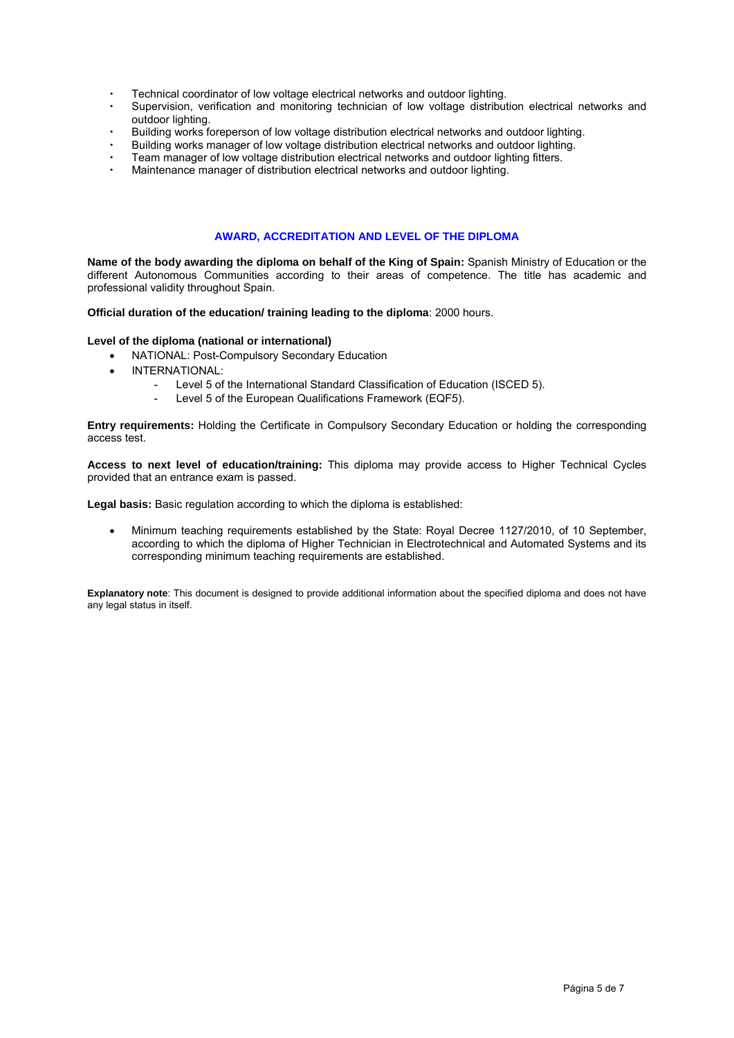- Technical coordinator of low voltage electrical networks and outdoor lighting.
- Supervision, verification and monitoring technician of low voltage distribution electrical networks and outdoor lighting.
- Building works foreperson of low voltage distribution electrical networks and outdoor lighting.
- Building works manager of low voltage distribution electrical networks and outdoor lighting.
- Team manager of low voltage distribution electrical networks and outdoor lighting fitters.
- Maintenance manager of distribution electrical networks and outdoor lighting.

## **AWARD, ACCREDITATION AND LEVEL OF THE DIPLOMA**

**Name of the body awarding the diploma on behalf of the King of Spain:** Spanish Ministry of Education or the different Autonomous Communities according to their areas of competence. The title has academic and professional validity throughout Spain.

**Official duration of the education/ training leading to the diploma**: 2000 hours.

#### **Level of the diploma (national or international)**

- NATIONAL: Post-Compulsory Secondary Education
- INTERNATIONAL:
	- Level 5 of the International Standard Classification of Education (ISCED 5).
	- Level 5 of the European Qualifications Framework (EQF5).

**Entry requirements:** Holding the Certificate in Compulsory Secondary Education or holding the corresponding access test.

**Access to next level of education/training:** This diploma may provide access to Higher Technical Cycles provided that an entrance exam is passed.

**Legal basis:** Basic regulation according to which the diploma is established:

• Minimum teaching requirements established by the State: Royal Decree 1127/2010, of 10 September, according to which the diploma of Higher Technician in Electrotechnical and Automated Systems and its corresponding minimum teaching requirements are established.

**Explanatory note**: This document is designed to provide additional information about the specified diploma and does not have any legal status in itself.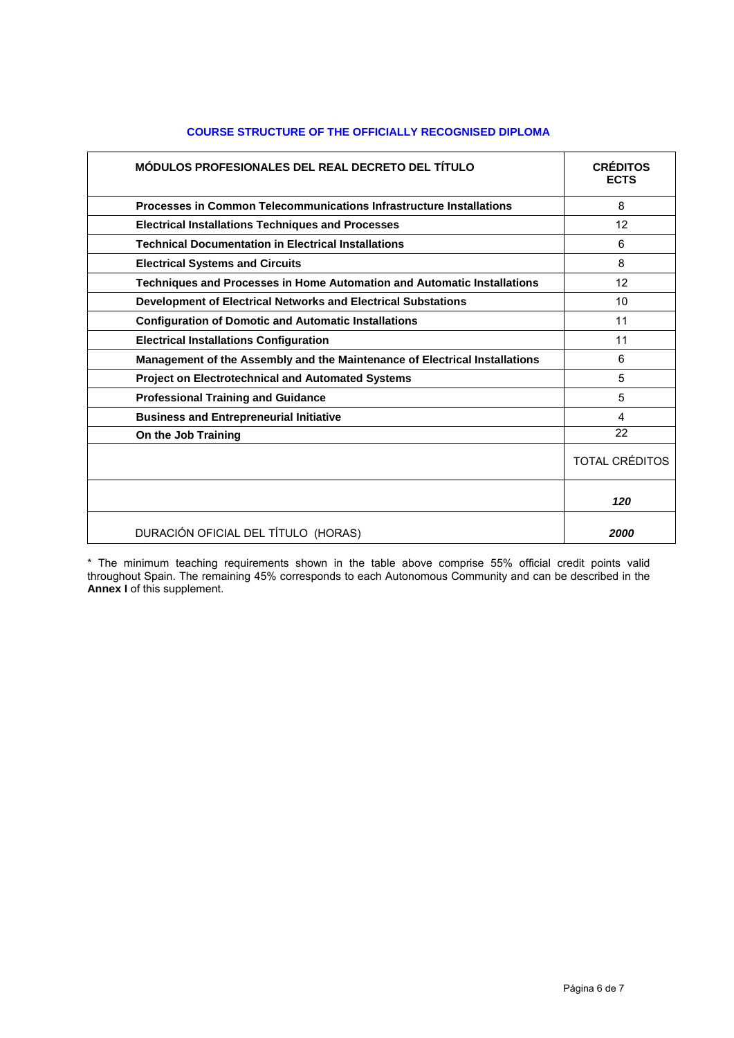| MÓDULOS PROFESIONALES DEL REAL DECRETO DEL TÍTULO                          | <b>CRÉDITOS</b><br><b>ECTS</b> |
|----------------------------------------------------------------------------|--------------------------------|
| Processes in Common Telecommunications Infrastructure Installations        | 8                              |
| <b>Electrical Installations Techniques and Processes</b>                   | 12                             |
| <b>Technical Documentation in Electrical Installations</b>                 | 6                              |
| <b>Electrical Systems and Circuits</b>                                     | 8                              |
| Techniques and Processes in Home Automation and Automatic Installations    | 12                             |
| Development of Electrical Networks and Electrical Substations              | 10                             |
| <b>Configuration of Domotic and Automatic Installations</b>                | 11                             |
| <b>Electrical Installations Configuration</b>                              | 11                             |
| Management of the Assembly and the Maintenance of Electrical Installations | 6                              |
| <b>Project on Electrotechnical and Automated Systems</b>                   | 5                              |
| <b>Professional Training and Guidance</b>                                  | 5                              |
| <b>Business and Entrepreneurial Initiative</b>                             | 4                              |
| On the Job Training                                                        | 22                             |
|                                                                            | <b>TOTAL CRÉDITOS</b>          |
|                                                                            | 120                            |
| DURACIÓN OFICIAL DEL TÍTULO (HORAS)                                        | 2000                           |

## **COURSE STRUCTURE OF THE OFFICIALLY RECOGNISED DIPLOMA**

\* The minimum teaching requirements shown in the table above comprise 55% official credit points valid throughout Spain. The remaining 45% corresponds to each Autonomous Community and can be described in the **Annex I** of this supplement.